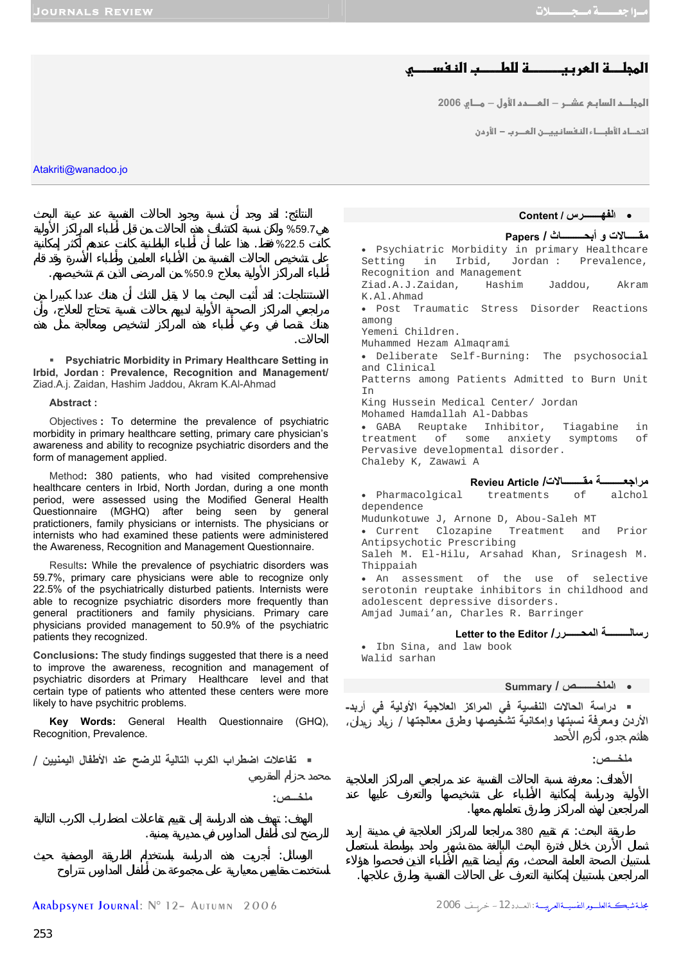# المجلــــة العربيـــــــــة للطـــــب النـفســــــو

<mark>المجلــد السابـم عشــر — المــــدد الأول — مـــاي 2006</mark>

<mark>ا</mark> تحـاء الأطبــاء النفسا نييــن المــرب − الأرمن

• **الفهـــــــرس / Content**

Atakriti@wanadoo.jo

النتائج: قد وجد أن نسبة وجود الحالات النفسية عند عينة البحث  $\%59.7$  $\%22.5$   $\%$ 

الحالا .

**ملخـــص:**

للرضح لدى أطفال المدارس في مديرية يمنية.

 $\%50.9$   $\%50.9$ 

 **Psychiatric Morbidity in Primary Healthcare Setting in Irbid, Jordan : Prevalence, Recognition and Management/**  Ziad.A.j. Zaidan, Hashim Jaddou, Akram K.Al-Ahmad

الاستنتاجات: قد أثبت البحث بما يقبل الشك أن هناك عددا كبيرا من

#### **Abstract :**

Objectives **:** To determine the prevalence of psychiatric morbidity in primary healthcare setting, primary care physician's awareness and ability to recognize psychiatric disorders and the form of management applied.

Method**:** 380 patients, who had visited comprehensive healthcare centers in Irbid, North Jordan, during a one month period, were assessed using the Modified General Health Questionnaire (MGHQ) after being seen by general pratictioners, family physicians or internists. The physicians or internists who had examined these patients were administered the Awareness, Recognition and Management Questionnaire.

Results**:** While the prevalence of psychiatric disorders was 59.7%, primary care physicians were able to recognize only 22.5% of the psychiatrically disturbed patients. Internists were able to recognize psychiatric disorders more frequently than general practitioners and family physicians. Primary care physicians provided management to 50.9% of the psychiatric patients they recognized.

**Conclusions:** The study findings suggested that there is a need to improve the awareness, recognition and management of psychiatric disorders at Primary Healthcare level and that certain type of patients who attented these centers were more likely to have psychitric problems.

**Key Words:** General Health Questionnaire (GHQ), Recognition, Prevalence.

**تفاعلات اضطراب الكرب التالية للرضح عند الأطفال اليمنيين** /

الهدف: تهدف ذه الدراسة إلى تقييم تفاعلات اضطراب الكرب التالية

الوسائل: أجريت ذه الدراسة باستخدام الطريقة الوصفية حيث

**Papers / أبحـــــــــاث و مقـــــالات** • Psychiatric Morbidity in primary Healthcare Setting in Irbid, Jordan : Prevalence, Recognition and Management Ziad.A.J.Zaidan, Hashim Jaddou, Akram K.Al.Ahmad • Post Traumatic Stress Disorder Reactions among Yemeni Children. Muhammed Hezam Almaqrami • Deliberate Self-Burning: The psychosocial and Clinical Patterns among Patients Admitted to Burn Unit In King Hussein Medical Center/ Jordan Mohamed Hamdallah Al-Dabbas • GABA Reuptake Inhibitor, Tiagabine in treatment of some anxiety symptoms Pervasive developmental disorder. Chaleby K, Zawawi A **Revieu Article /مقــــــــالات مراجعـــــــــة** • Pharmacolgical treatments of alchol dependence Mudunkotuwe J, Arnone D, Abou-Saleh MT • Current Clozapine Treatment and Prior Antipsychotic Prescribing

Saleh M. El-Hilu, Arsahad Khan, Srinagesh M. Thippaiah • An assessment of the use of selective

serotonin reuptake inhibitors in childhood and adolescent depressive disorders. Amjad Jumai'an, Charles R. Barringer

## **Letter to the Editor /المحــــــرر رسالـــــــــة**

 • Ibn Sina, and law book Walid sarhan

## • **الملخــــــــص / Summary**

 **دراسة الحالات النفسية في المراآز العلاجية الأولية في أربد- الأردن ومعرفة نسبتها وإمكانية تشخيصها وطرق معالجتها** / ياد زيدان،

المراجعين باستبيان إمكانية التعرف على الحالات النفسية وطرق علاجها.

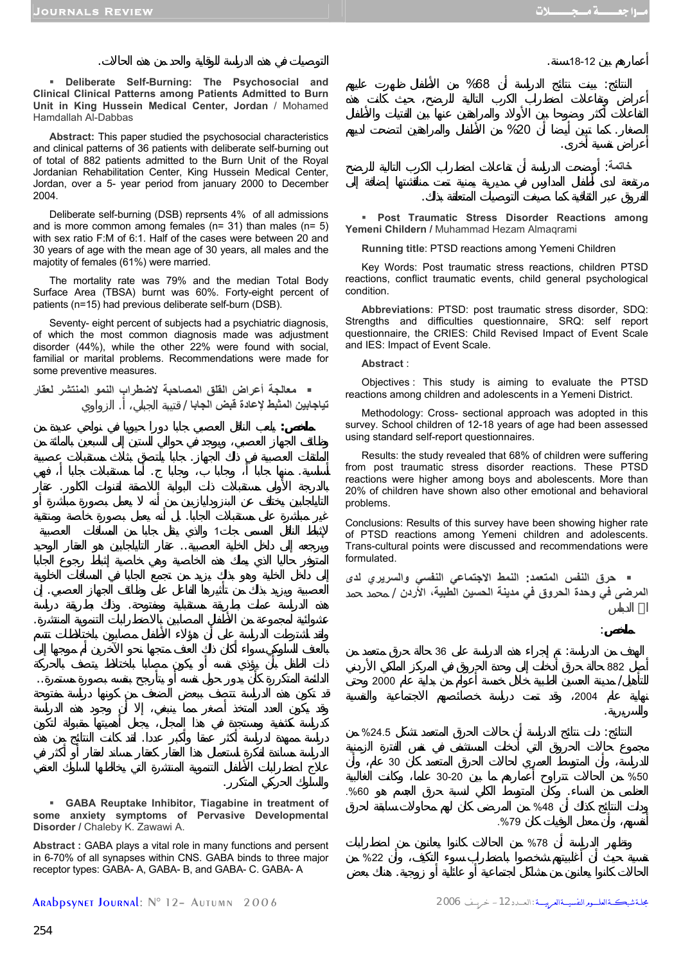**Deliberate Self-Burning: The Psychosocial and Clinical Clinical Patterns among Patients Admitted to Burn Unit in King Hussein Medical Center, Jordan** / Mohamed Hamdallah Al-Dabbas

التوصيات في ذه الدراسة للوقاية والحد من ذه الحالات.

**Abstract:** This paper studied the psychosocial characteristics and clinical patterns of 36 patients with deliberate self-burning out of total of 882 patients admitted to the Burn Unit of the Royal Jordanian Rehabilitation Center, King Hussein Medical Center, Jordan, over a 5- year period from january 2000 to December 2004.

Deliberate self-burning (DSB) reprsents 4% of all admissions and is more common among females (n= 31) than males (n= 5) with sex ratio F:M of 6:1. Half of the cases were between 20 and 30 years of age with the mean age of 30 years, all males and the majotity of females (61%) were married.

The mortality rate was 79% and the median Total Body Surface Area (TBSA) burnt was 60%. Forty-eight percent of patients (n=15) had previous deliberate self-burn (DSB).

Seventy- eight percent of subjects had a psychiatric diagnosis, of which the most common diagnosis made was adjustment disorder (44%), while the other 22% were found with social, familial or marital problems. Recommendations were made for some preventive measures.

 **معالجة أعراض القلق المصاحبة لاضطراب النمو المنتشر لعقار تياجابين المثبط لإعادة قبض الجابا** / قتيبة الجبلي، . الزواوي

الملتقات العصبية في ذلك الجهاز. جابا يلتصق بثلاث مستقبلات عصبية أساسية. منها جابا أ، وجابا ب، وجابا . أما مستقبلات جابا أ، فهي بالدرجة الأولى مستقبلات ذات البوابة ال صقة لقنوات الكلور. عقار

غير مباشرة على مستقبلات الجابا. بل أنه يعمل بصورة خاصة ومنتقية  $\frac{1}{1}$  expressed  $\frac{1}{1}$  expressed  $\frac{1}{1}$  expressed  $\frac{1}{1}$  expressed by  $\frac{1}{1}$  expressed by  $\frac{1}{1}$  expressed by  $\frac{1}{1}$  expressed by  $\frac{1}{1}$  expressed by  $\frac{1}{1}$  expressed by  $\frac{1}{1}$  expressed by ويرجعه إلى داخل الخلية العصبية.. عقار التاياجابين هو العقار الوحيد

العصبية ويزيد بذلك من تأثيرها الفاعل على وظائف الجهاز العصبي. إن ذه الدراسة عملت بطريقة مستقبلي ومفتوحة. ذلك بطريقة دراسة عشوائية لمجموعة من الأطفال المصابين بالاضطرابات التنموية المنتشرة.

الدائمة المتكررة كأن يدور حول نفسه أو يتأرجح بنفسه بصورة مستمرة..

دراسة ممهدة لدراسة أكثر عمقا وأكبر عددا. لقد كانت لنتائج من ذه

**ملخص:** يلعب الناقل العصبي جابا دورا حيويا في نواحي عديدة من

 **GABA Reuptake Inhibitor, Tiagabine in treatment of some anxiety symptoms of Pervasive Developmental Disorder /** Chaleby K. Zawawi A.

والسلوك الحركي المتكرر.

**Abstract :** GABA plays a vital role in many functions and persent in 6-70% of all synapses within CNS. GABA binds to three major receptor types: GABA- A, GABA- B, and GABA- C. GABA- A

Arabpsynet Journal: N° 12– Autumn 2006 2006 خريــــف -12الـعــــدد: مجلــةشبكـــةالعلــــــومالنفسيــــةالعربيـــــة



الفروق عبر الثقافية كما صيغت التوصيات المتعلقة ذلك.

 **Post Traumatic Stress Disorder Reactions among Yemeni Childern /** Muhammad Hezam Almaqrami

**Running title**: PTSD reactions among Yemeni Children

Key Words: Post traumatic stress reactions, children PTSD reactions, conflict traumatic events, child general psychological condition.

**Abbreviations**: PTSD: post traumatic stress disorder, SDQ: Strengths and difficulties questionnaire, SRQ: self report questionnaire, the CRIES: Child Revised Impact of Event Scale and IES: Impact of Event Scale.

### **Abstract** :

Objectives : This study is aiming to evaluate the PTSD reactions among children and adolescents in a Yemeni District.

Methodology: Cross- sectional approach was adopted in this survey. School children of 12-18 years of age had been assessed using standard self-report questionnaires.

Results: the study revealed that 68% of children were suffering from post traumatic stress disorder reactions. These PTSD reactions were higher among boys and abolescents. More than 20% of children have shown also other emotional and behavioral problems.

Conclusions: Results of this survey have been showing higher rate of PTSD reactions among Yemeni children and adolescents. Trans-cultural points were discussed and recommendations were formulated.

 **حرق النفس المتعمد: النمط الاجتماعي النفسي والسريري لدى المرضى في وحدة الحروق في مدينة الحسين الطبية، الأردن** / محمد حمد

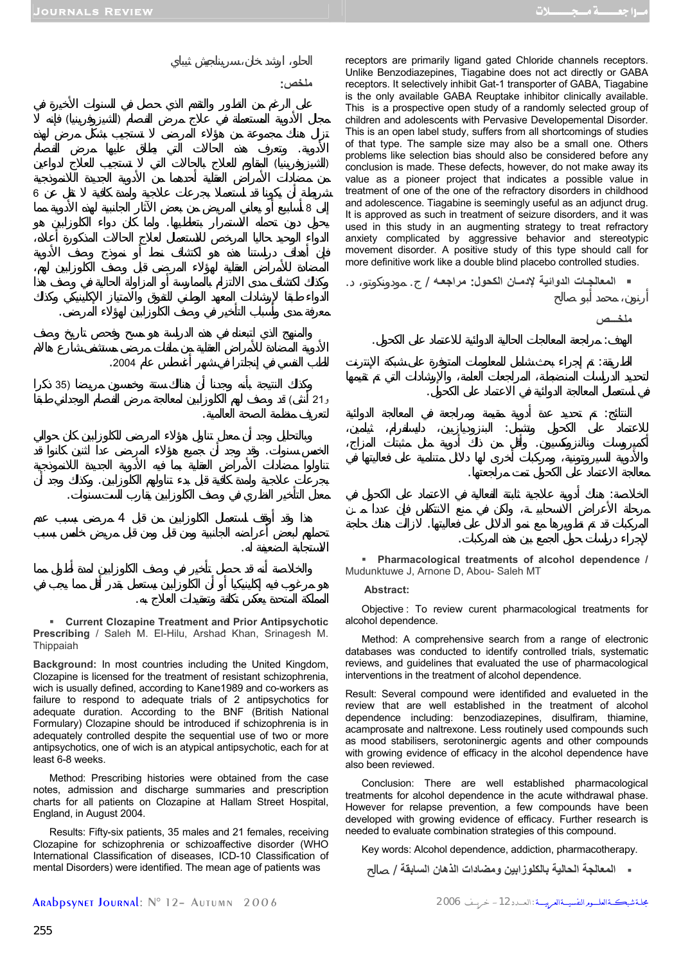**ملخـــص**



معرفة مدى وأسباب التأخير في صف الكلوزابين لهؤلاء المرضى.

 $(35)$ و21 أنثى) وصف لهم الكلوزابين لمعالجة مرض الفصام الوجداني طبقا

الخمس سنوات. قد وجد أن جميع هؤلاء المرضى عدا اثنين كانوا قد

بجرعات علاجية ولمدة كافية قبل بدء تناولهم الكلوزابين. وكذلك جد أن معدل التأخير النظري في وصف الكلوزابين يقارب الست سنوات.

 $\overline{4}$ 

للطب النفسي في إنجلترا في شهر أغسطس عام .2004

لتعريف منظمة الصحة العالمية.

الاستجابة الضعيفة له.

receptors are primarily ligand gated Chloride channels receptors. Unlike Benzodiazepines, Tiagabine does not act directly or GABA receptors. It selectively inhibit Gat-1 transporter of GABA, Tiagabine is the only available GABA Reuptake inhibitor clinically available. This is a prospective open study of a randomly selected group of children and adolescents with Pervasive Developemental Disorder. This is an open label study, suffers from all shortcomings of studies of that type. The sample size may also be a small one. Others problems like selection bias should also be considered before any conclusion is made. These defects, however, do not make away its value as a pioneer project that indicates a possible value in treatment of one of the one of the refractory disorders in childhood and adolescence. Tiagabine is seemingly useful as an adjunct drug. It is approved as such in treatment of seizure disorders, and it was used in this study in an augmenting strategy to treat refractory anxiety complicated by aggressive behavior and stereotypic movement disorder. A positive study of this type should call for more definitive work like a double blind placebo controlled studies.

**المعالجـات الدوائية لإدمـان الكحول: مراجعـه** / . مودونكوتو، .

في استعمال المعالجة الدوائية في الاعتماد على الكحول.

معالجة الاعتماد على الكحول تمت مراجعتها.

لإجراء دراسات حول الجمع بين ذه المركبات.

الهدف: مراجعة المعالجات الحالية الدوائية للاعتماد على الكحول.

الطريقة: تم إجراء بحث شامل للمعلومات المتوفرة على شبكة الإنترنت

النتائج: تم تحديد عدة أدوية مقيمة ومراجعة في المعالجة الدوائية للاعتماد على الكحول وتشمل: البنز ديازبين، دايسلفرام، ثيامين، أكميروسات ونالنزوكسيون. وأقل من ذلك أدوية مثل مثبتات المزاج،

 **Current Clozapine Treatment and Prior Antipsychotic Prescribing** / Saleh M. El-Hilu, Arshad Khan, Srinagesh M. Thippaiah

المملكة المتحدة يعكس تكلفة وتعقيدات العلاج به.

**Background:** In most countries including the United Kingdom, Clozapine is licensed for the treatment of resistant schizophrenia, wich is usually defined, according to Kane1989 and co-workers as failure to respond to adequate trials of 2 antipsychotics for adequate duration. According to the BNF (British National Formulary) Clozapine should be introduced if schizophrenia is in adequately controlled despite the sequential use of two or more antipsychotics, one of wich is an atypical antipsychotic, each for at least 6-8 weeks.

Method: Prescribing histories were obtained from the case notes, admission and discharge summaries and prescription charts for all patients on Clozapine at Hallam Street Hospital, England, in August 2004.

Results: Fifty-six patients, 35 males and 21 females, receiving Clozapine for schizophrenia or schizoaffective disorder (WHO International Classification of diseases, ICD-10 Classification of mental Disorders) were identified. The mean age of patients was

 **Pharmacological treatments of alcohol dependence /**  Mudunktuwe J, Arnone D, Abou- Saleh MT

الخلاصة: هناك أدوية علاجية ثابتة الفعالية في الاعتماد عل الكحول في

المركبات قد تم تطويرها مع نمو الدلائل على فعاليتها. لازالت هناك حاجة

#### **Abstract:**

Objective : To review curent pharmacological treatments for alcohol dependence.

Method: A comprehensive search from a range of electronic databases was conducted to identify controlled trials, systematic reviews, and guidelines that evaluated the use of pharmacological interventions in the treatment of alcohol dependence.

Result: Several compound were identifided and evalueted in the review that are well established in the treatment of alcohol dependence including: benzodiazepines, disulfiram, thiamine, acamprosate and naltrexone. Less routinely used compounds such as mood stabilisers, serotoninergic agents and other compounds with growing evidence of efficacy in the alcohol dependence have also been reviewed.

Conclusion: There are well established pharmacological treatments for alcohol dependence in the acute withdrawal phase. However for relapse prevention, a few compounds have been developed with growing evidence of efficacy. Further research is needed to evaluate combination strategies of this compound.

Key words: Alcohol dependence, addiction, pharmacotherapy.

**المعالجة الحالية بالكلوزابين ومضادات الذهان السابقة** / صالح

جلة شبكـةالعلـــومرالتفسيـــةالعـــرد: 1- خريــف 2006 2006 - حريسة :العـــدد 12 - حريــف 2006 ARADpsynet Journal: N° 12– Autumn 2006